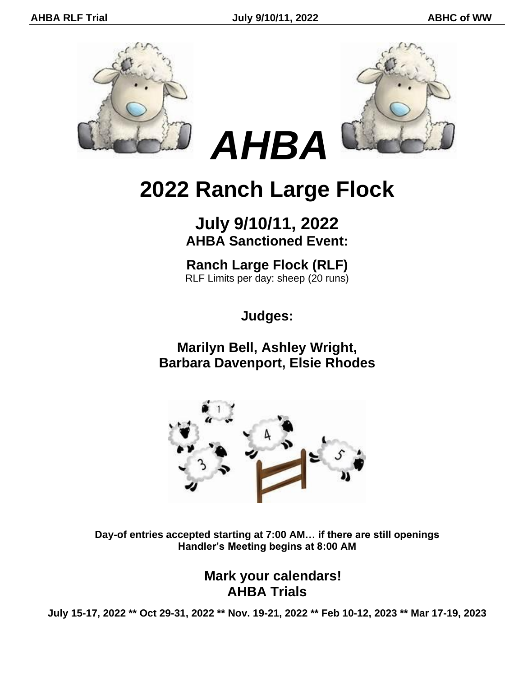



# **2022 Ranch Large Flock**

# **July 9/10/11, 2022 AHBA Sanctioned Event:**

**Ranch Large Flock (RLF)** RLF Limits per day: sheep (20 runs)

**Judges:**

**Marilyn Bell, Ashley Wright, Barbara Davenport, Elsie Rhodes**



**Day-of entries accepted starting at 7:00 AM… if there are still openings Handler's Meeting begins at 8:00 AM**

### **Mark your calendars! AHBA Trials**

**July 15-17, 2022 \*\* Oct 29-31, 2022 \*\* Nov. 19-21, 2022 \*\* Feb 10-12, 2023 \*\* Mar 17-19, 2023**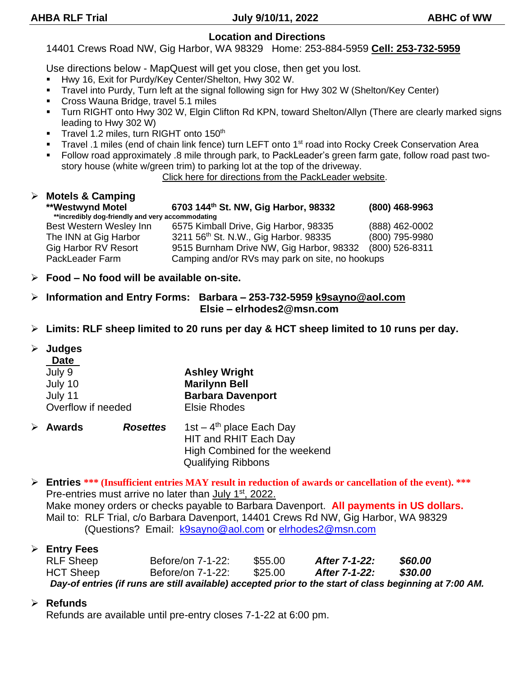### **Location and Directions**

14401 Crews Road NW, Gig Harbor, WA 98329 Home: 253-884-5959 **Cell: 253-732-5959**

Use directions below - MapQuest will get you close, then get you lost.

- Hwy 16, Exit for Purdy/Key Center/Shelton, Hwy 302 W.
- Travel into Purdy, Turn left at the signal following sign for Hwy 302 W (Shelton/Key Center)
- Cross Wauna Bridge, travel 5.1 miles
- Turn RIGHT onto Hwy 302 W, Elgin Clifton Rd KPN, toward Shelton/Allyn (There are clearly marked signs leading to Hwy 302 W)
- **•** Travel 1.2 miles, turn RIGHT onto 150<sup>th</sup>
- Travel .1 miles (end of chain link fence) turn LEFT onto 1<sup>st</sup> road into Rocky Creek Conservation Area
- Follow road approximately .8 mile through park, to PackLeader's green farm gate, follow road past twostory house (white w/green trim) to parking lot at the top of the driveway.

Click here for directions from the PackLeader website.

#### ➢ **Motels & Camping \*\*Westwynd Motel 6703 144th St. NW, Gig Harbor, 98332 (800) 468-9963 \*\*incredibly dog-friendly and very accommodating** Best Western Wesley Inn 6575 Kimball Drive, Gig Harbor, 98335 (888) 462-0002 The INN at Gig Harbor 3211 56th St. N.W., Gig Harbor. 98335 (800) 795-9980 Gig Harbor RV Resort 9515 Burnham Drive NW, Gig Harbor, 98332 (800) 526-8311 PackLeader Farm Camping and/or RVs may park on site, no hookups

- ➢ **Food – No food will be available on-site.**
- ➢ **Information and Entry Forms: Barbara – 253-732-5959 k9sayno@aol.com Elsie – elrhodes2@msn.com**
- ➢ **Limits: RLF sheep limited to 20 runs per day & HCT sheep limited to 10 runs per day.**

### ➢ **Judges**

| Date               |                          |
|--------------------|--------------------------|
| July 9             | <b>Ashley Wright</b>     |
| July 10            | <b>Marilynn Bell</b>     |
| July 11            | <b>Barbara Davenport</b> |
| Overflow if needed | <b>Elsie Rhodes</b>      |

- ➢ **Awards** *Rosettes* 1st 4 1st  $-$  4<sup>th</sup> place Each Day HIT and RHIT Each Day High Combined for the weekend Qualifying Ribbons
- ➢ **Entries \*\*\* (Insufficient entries MAY result in reduction of awards or cancellation of the event). \*\*\*** Pre-entries must arrive no later than July 1<sup>st</sup>, 2022. Make money orders or checks payable to Barbara Davenport. **All payments in US dollars.** Mail to: RLF Trial, c/o Barbara Davenport, 14401 Crews Rd NW, Gig Harbor, WA 98329 (Questions? Email: k9sayno@aol.com or elrhodes2@msn.com

### ➢ **Entry Fees**

| <b>RLF Sheep</b>                                                                                        | Before/on 7-1-22: | \$55,00 | After 7-1-22: | \$60.00        |  |
|---------------------------------------------------------------------------------------------------------|-------------------|---------|---------------|----------------|--|
| <b>HCT Sheep</b>                                                                                        | Before/on 7-1-22: | \$25.00 | After 7-1-22: | <b>\$30.00</b> |  |
| Day-of entries (if runs are still available) accepted prior to the start of class beginning at 7:00 AM. |                   |         |               |                |  |

### ➢ **Refunds**

Refunds are available until pre-entry closes 7-1-22 at 6:00 pm.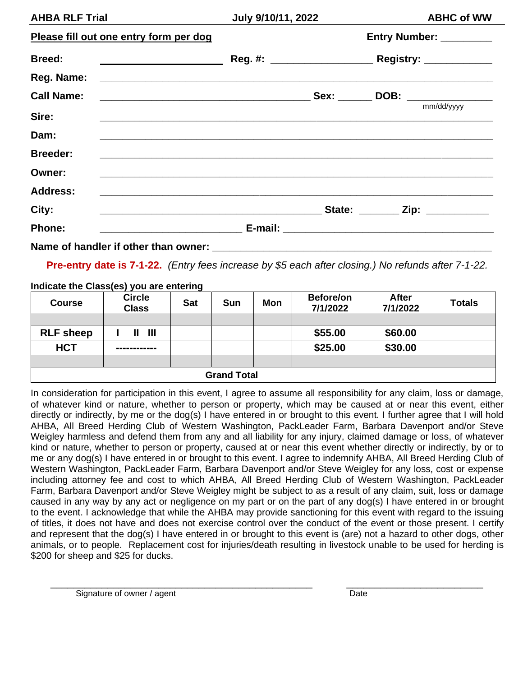| <b>AHBA RLF Trial</b>                                                                                                         | July 9/10/11, 2022 |                         | <b>ABHC of WW</b> |                                  |
|-------------------------------------------------------------------------------------------------------------------------------|--------------------|-------------------------|-------------------|----------------------------------|
| Please fill out one entry form per dog                                                                                        |                    | Entry Number: _________ |                   |                                  |
| <b>Breed:</b>                                                                                                                 |                    |                         |                   |                                  |
|                                                                                                                               |                    |                         |                   |                                  |
| <b>Call Name:</b>                                                                                                             |                    |                         |                   |                                  |
| Sire:<br><u> 1990 - Johann Barbara, martxa alemaniar argumentuar eta argumentza eta argitarra eta argitarra eta argitarra</u> |                    |                         |                   | mm/dd/yyyy                       |
| Dam:                                                                                                                          |                    |                         |                   |                                  |
| <b>Breeder:</b>                                                                                                               |                    |                         |                   |                                  |
| Owner:                                                                                                                        |                    |                         |                   |                                  |
| <b>Address:</b><br><u> 1989 - Johann Stoff, amerikansk politiker (d. 1989)</u>                                                |                    |                         |                   |                                  |
| City:                                                                                                                         |                    |                         |                   | State: ________ Zip: ___________ |
| Phone:                                                                                                                        |                    |                         |                   |                                  |

Name of handler if other than owner:

**Pre-entry date is 7-1-22.** *(Entry fees increase by \$5 each after closing.) No refunds after 7-1-22.*

#### **Indicate the Class(es) you are entering**

| <b>Course</b>      | <b>Circle</b><br><b>Class</b> | <b>Sat</b> | <b>Sun</b> | <b>Mon</b> | Before/on<br>7/1/2022 | <b>After</b><br>7/1/2022 | <b>Totals</b> |
|--------------------|-------------------------------|------------|------------|------------|-----------------------|--------------------------|---------------|
|                    |                               |            |            |            |                       |                          |               |
| <b>RLF</b> sheep   | -III<br>Ш                     |            |            |            | \$55.00               | \$60.00                  |               |
| <b>HCT</b>         | ------------                  |            |            |            | \$25.00               | \$30.00                  |               |
|                    |                               |            |            |            |                       |                          |               |
| <b>Grand Total</b> |                               |            |            |            |                       |                          |               |

In consideration for participation in this event, I agree to assume all responsibility for any claim, loss or damage, of whatever kind or nature, whether to person or property, which may be caused at or near this event, either directly or indirectly, by me or the dog(s) I have entered in or brought to this event. I further agree that I will hold AHBA, All Breed Herding Club of Western Washington, PackLeader Farm, Barbara Davenport and/or Steve Weigley harmless and defend them from any and all liability for any injury, claimed damage or loss, of whatever kind or nature, whether to person or property, caused at or near this event whether directly or indirectly, by or to me or any dog(s) I have entered in or brought to this event. I agree to indemnify AHBA, All Breed Herding Club of Western Washington, PackLeader Farm, Barbara Davenport and/or Steve Weigley for any loss, cost or expense including attorney fee and cost to which AHBA, All Breed Herding Club of Western Washington, PackLeader Farm, Barbara Davenport and/or Steve Weigley might be subject to as a result of any claim, suit, loss or damage caused in any way by any act or negligence on my part or on the part of any dog(s) I have entered in or brought to the event. I acknowledge that while the AHBA may provide sanctioning for this event with regard to the issuing of titles, it does not have and does not exercise control over the conduct of the event or those present. I certify and represent that the dog(s) I have entered in or brought to this event is (are) not a hazard to other dogs, other animals, or to people. Replacement cost for injuries/death resulting in livestock unable to be used for herding is \$200 for sheep and \$25 for ducks.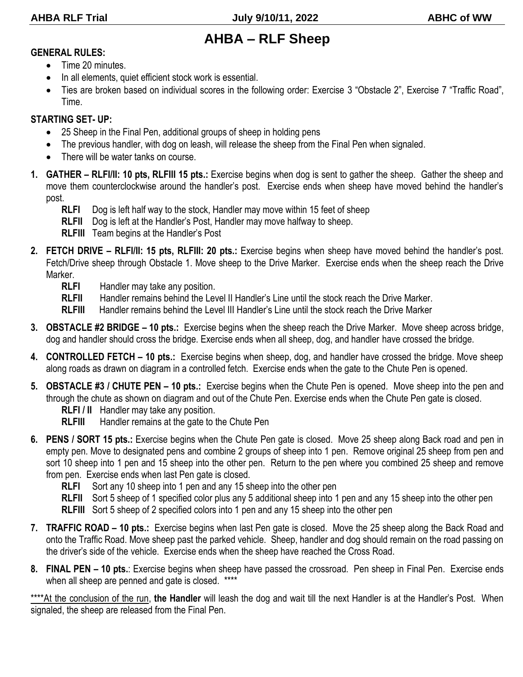# **AHBA – RLF Sheep**

#### **GENERAL RULES:**

- Time 20 minutes.
- In all elements, quiet efficient stock work is essential.
- Ties are broken based on individual scores in the following order: Exercise 3 "Obstacle 2", Exercise 7 "Traffic Road", Time.

### **STARTING SET- UP:**

- 25 Sheep in the Final Pen, additional groups of sheep in holding pens
- The previous handler, with dog on leash, will release the sheep from the Final Pen when signaled.
- There will be water tanks on course.
- **1. GATHER – RLFI/II: 10 pts, RLFIII 15 pts.:** Exercise begins when dog is sent to gather the sheep. Gather the sheep and move them counterclockwise around the handler's post. Exercise ends when sheep have moved behind the handler's post.
	- **RLFI** Dog is left half way to the stock, Handler may move within 15 feet of sheep
	- **RLFII** Dog is left at the Handler's Post, Handler may move halfway to sheep.
	- **RLFIII** Team begins at the Handler's Post
- **2. FETCH DRIVE – RLFI/II: 15 pts, RLFIII: 20 pts.:** Exercise begins when sheep have moved behind the handler's post. Fetch/Drive sheep through Obstacle 1. Move sheep to the Drive Marker. Exercise ends when the sheep reach the Drive Marker.
	- **RLFI** Handler may take any position.
	- **RLFII** Handler remains behind the Level II Handler's Line until the stock reach the Drive Marker.
	- **RLFIII** Handler remains behind the Level III Handler's Line until the stock reach the Drive Marker
- **3. OBSTACLE #2 BRIDGE – 10 pts.:** Exercise begins when the sheep reach the Drive Marker. Move sheep across bridge, dog and handler should cross the bridge. Exercise ends when all sheep, dog, and handler have crossed the bridge.
- **4. CONTROLLED FETCH – 10 pts.:** Exercise begins when sheep, dog, and handler have crossed the bridge. Move sheep along roads as drawn on diagram in a controlled fetch. Exercise ends when the gate to the Chute Pen is opened.
- **5. OBSTACLE #3 / CHUTE PEN – 10 pts.:** Exercise begins when the Chute Pen is opened. Move sheep into the pen and through the chute as shown on diagram and out of the Chute Pen. Exercise ends when the Chute Pen gate is closed.
	- **RLFI / II** Handler may take any position.
	- **RLFIII** Handler remains at the gate to the Chute Pen
- **6. PENS / SORT 15 pts.:** Exercise begins when the Chute Pen gate is closed. Move 25 sheep along Back road and pen in empty pen. Move to designated pens and combine 2 groups of sheep into 1 pen. Remove original 25 sheep from pen and sort 10 sheep into 1 pen and 15 sheep into the other pen. Return to the pen where you combined 25 sheep and remove from pen. Exercise ends when last Pen gate is closed.
	- **RLFI** Sort any 10 sheep into 1 pen and any 15 sheep into the other pen
	- **RLFII** Sort 5 sheep of 1 specified color plus any 5 additional sheep into 1 pen and any 15 sheep into the other pen
	- **RLFIII** Sort 5 sheep of 2 specified colors into 1 pen and any 15 sheep into the other pen
- **7. TRAFFIC ROAD – 10 pts.:** Exercise begins when last Pen gate is closed. Move the 25 sheep along the Back Road and onto the Traffic Road. Move sheep past the parked vehicle. Sheep, handler and dog should remain on the road passing on the driver's side of the vehicle. Exercise ends when the sheep have reached the Cross Road.
- **8. FINAL PEN – 10 pts.**: Exercise begins when sheep have passed the crossroad. Pen sheep in Final Pen. Exercise ends when all sheep are penned and gate is closed. \*\*\*\*

\*\*\*\*At the conclusion of the run, **the Handler** will leash the dog and wait till the next Handler is at the Handler's Post. When signaled, the sheep are released from the Final Pen.